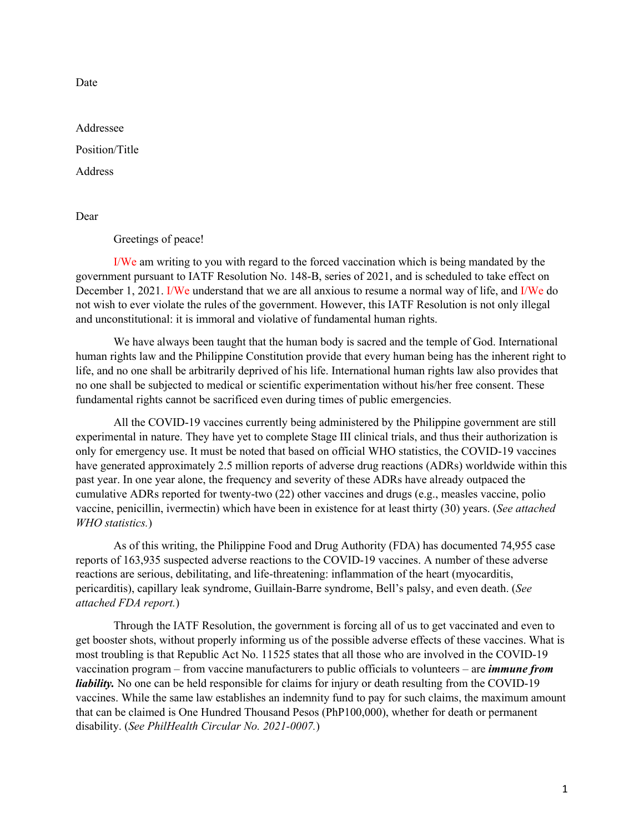Date

Addressee Position/Title

**Address** 

Dear

Greetings of peace!

I/We am writing to you with regard to the forced vaccination which is being mandated by the government pursuant to IATF Resolution No. 148-B, series of 2021, and is scheduled to take effect on December 1, 2021. I/We understand that we are all anxious to resume a normal way of life, and I/We do not wish to ever violate the rules of the government. However, this IATF Resolution is not only illegal and unconstitutional: it is immoral and violative of fundamental human rights.

We have always been taught that the human body is sacred and the temple of God. International human rights law and the Philippine Constitution provide that every human being has the inherent right to life, and no one shall be arbitrarily deprived of his life. International human rights law also provides that no one shall be subjected to medical or scientific experimentation without his/her free consent. These fundamental rights cannot be sacrificed even during times of public emergencies.

All the COVID-19 vaccines currently being administered by the Philippine government are still experimental in nature. They have yet to complete Stage III clinical trials, and thus their authorization is only for emergency use. It must be noted that based on official WHO statistics, the COVID-19 vaccines have generated approximately 2.5 million reports of adverse drug reactions (ADRs) worldwide within this past year. In one year alone, the frequency and severity of these ADRs have already outpaced the cumulative ADRs reported for twenty-two (22) other vaccines and drugs (e.g., measles vaccine, polio vaccine, penicillin, ivermectin) which have been in existence for at least thirty (30) years. (*See attached WHO statistics.*)

As of this writing, the Philippine Food and Drug Authority (FDA) has documented 74,955 case reports of 163,935 suspected adverse reactions to the COVID-19 vaccines. A number of these adverse reactions are serious, debilitating, and life-threatening: inflammation of the heart (myocarditis, pericarditis), capillary leak syndrome, Guillain-Barre syndrome, Bell's palsy, and even death. (*See attached FDA report.*)

Through the IATF Resolution, the government is forcing all of us to get vaccinated and even to get booster shots, without properly informing us of the possible adverse effects of these vaccines. What is most troubling is that Republic Act No. 11525 states that all those who are involved in the COVID-19 vaccination program – from vaccine manufacturers to public officials to volunteers – are *immune from liability*. No one can be held responsible for claims for injury or death resulting from the COVID-19 vaccines. While the same law establishes an indemnity fund to pay for such claims, the maximum amount that can be claimed is One Hundred Thousand Pesos (PhP100,000), whether for death or permanent disability. (*See PhilHealth Circular No. 2021-0007.*)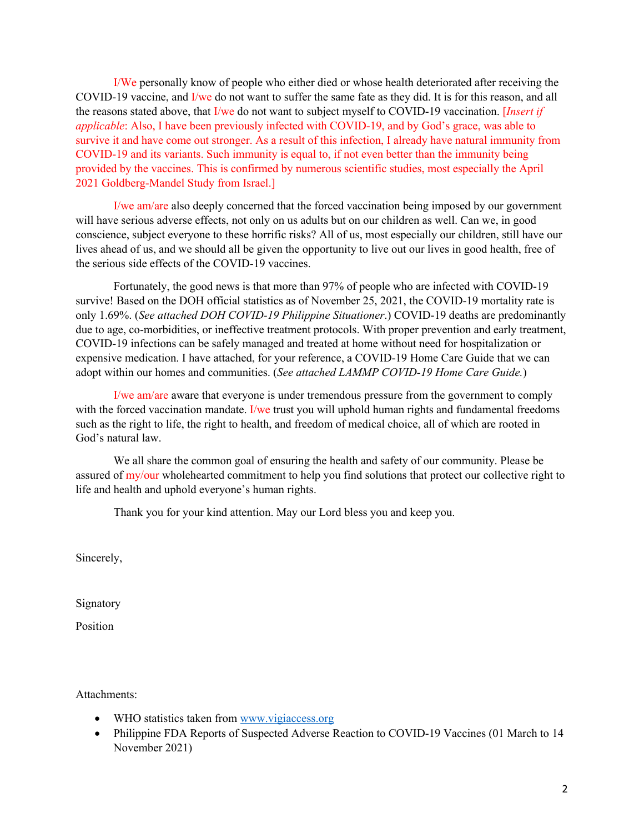I/We personally know of people who either died or whose health deteriorated after receiving the COVID-19 vaccine, and I/we do not want to suffer the same fate as they did. It is for this reason, and all the reasons stated above, that I/we do not want to subject myself to COVID-19 vaccination. [*Insert if applicable*: Also, I have been previously infected with COVID-19, and by God's grace, was able to survive it and have come out stronger. As a result of this infection, I already have natural immunity from COVID-19 and its variants. Such immunity is equal to, if not even better than the immunity being provided by the vaccines. This is confirmed by numerous scientific studies, most especially the April 2021 Goldberg-Mandel Study from Israel.]

I/we am/are also deeply concerned that the forced vaccination being imposed by our government will have serious adverse effects, not only on us adults but on our children as well. Can we, in good conscience, subject everyone to these horrific risks? All of us, most especially our children, still have our lives ahead of us, and we should all be given the opportunity to live out our lives in good health, free of the serious side effects of the COVID-19 vaccines.

Fortunately, the good news is that more than 97% of people who are infected with COVID-19 survive! Based on the DOH official statistics as of November 25, 2021, the COVID-19 mortality rate is only 1.69%. (*See attached DOH COVID-19 Philippine Situationer*.) COVID-19 deaths are predominantly due to age, co-morbidities, or ineffective treatment protocols. With proper prevention and early treatment, COVID-19 infections can be safely managed and treated at home without need for hospitalization or expensive medication. I have attached, for your reference, a COVID-19 Home Care Guide that we can adopt within our homes and communities. (*See attached LAMMP COVID-19 Home Care Guide.*)

I/we am/are aware that everyone is under tremendous pressure from the government to comply with the forced vaccination mandate. I/we trust you will uphold human rights and fundamental freedoms such as the right to life, the right to health, and freedom of medical choice, all of which are rooted in God's natural law.

We all share the common goal of ensuring the health and safety of our community. Please be assured of my/our wholehearted commitment to help you find solutions that protect our collective right to life and health and uphold everyone's human rights.

Thank you for your kind attention. May our Lord bless you and keep you.

Sincerely,

Signatory

Position

Attachments:

- WHO statistics taken from www.vigiaccess.org
- Philippine FDA Reports of Suspected Adverse Reaction to COVID-19 Vaccines (01 March to 14 November 2021)